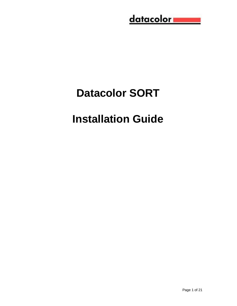# <u>datacolor</u>

# **Datacolor SORT**

# **Installation Guide**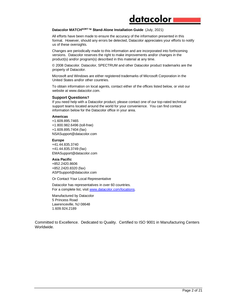#### **Datacolor MATCHSORT™ Stand-Alone Installation Guide** (July, 2021)

All efforts have been made to ensure the accuracy of the information presented in this format. However, should any errors be detected, Datacolor appreciates your efforts to notify us of these oversights.

datacolor

Changes are periodically made to this information and are incorporated into forthcoming versions. Datacolor reserves the right to make improvements and/or changes in the product(s) and/or program(s) described in this material at any time.

© 2008 Datacolor. Datacolor, SPECTRUM and other Datacolor product trademarks are the property of Datacolor.

Microsoft and Windows are either registered trademarks of Microsoft Corporation in the United States and/or other countries.

To obtain information on local agents, contact either of the offices listed below, or visit our website at www.datacolor.com.

#### **Support Questions?**

If you need help with a Datacolor product, please contact one of our top-rated technical support teams located around the world for your convenience. You can find contact information below for the Datacolor office in your area.

#### **Americas**

+1.609.895.7465 +1.800.982.6496 (toll-free) +1.609.895.7404 (fax) NSASupport@datacolor.com

#### **Europe**

+41.44.835.3740 +41.44.835.3749 (fax) EMASupport@datacolor.com

#### **Asia Pacific**

+852.2420.8606 +852.2420.8320 (fax) ASPSupport@datacolor.com

Or Contact Your Local Representative

Datacolor has representatives in over 60 countries. For a complete list, visit [www.datacolor.com/locations.](http://www.datacolor.com/locations)

Manufactured by Datacolor 5 Princess Road Lawrenceville, NJ 08648 1.609.924.2189

Committed to Excellence. Dedicated to Quality. Certified to ISO 9001 in Manufacturing Centers Worldwide.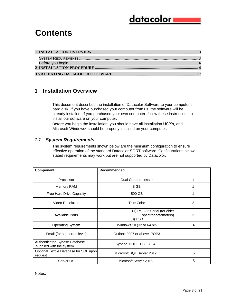#### <u>datacolor i</u>

#### **Contents**

#### <span id="page-2-0"></span>**1 Installation Overview**

This document describes the installation of Datacolor Software to your computer's hard disk. If you have purchased your computer from us, the software will be already installed. If you purchased your own computer, follow these instructions to install our software on your computer.

Before you begin the installation, you should have all installation USB's, and Microsoft Windows\* should be properly installed on your computer.

#### <span id="page-2-1"></span>*1.1 System Requirements*

The system requirements shown below are the minimum configuration to ensure effective operation of the standard Datacolor SORT software. Configurations below stated requirements may work but are not supported by Datacolor.

| <b>Component</b>                                          | Recommended                                                      |   |
|-----------------------------------------------------------|------------------------------------------------------------------|---|
| Processor                                                 | Dual Core processor                                              |   |
| Memory RAM                                                | 8 GB                                                             |   |
| Free Hard Drive Capacity                                  | 500 GB                                                           |   |
| <b>Video Resolution</b>                                   | <b>True Color</b>                                                | 2 |
| <b>Available Ports</b>                                    | (1) RS-232 Serial (for older<br>spectrophotometers)<br>$(3)$ USB | 3 |
| <b>Operating System</b>                                   | Windows 10 (32 or 64 bit)                                        | 4 |
| Email (for supported level)                               | Outlook 2007 or above, POP3                                      |   |
| Authenticated Sybase Database<br>supplied with the system | Sybase 12.0.1. EBF 3994                                          |   |
| Optional Textile Database for SQL upon<br>request         | Microsoft SQL Server 2012                                        | 5 |
| Server OS                                                 | Microsoft Server 2016                                            | 6 |

Notes: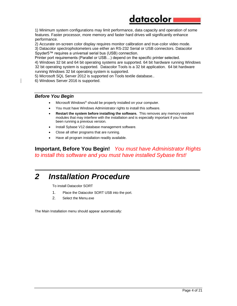#### datacolor

1) Minimum system configurations may limit performance, data capacity and operation of some features. Faster processor, more memory and faster hard drives will significantly enhance performance.

2) Accurate on-screen color display requires monitor calibration and true-color video mode.

3) Datacolor spectrophotometers use either an RS-232 Serial or USB connectors. Datacolor Spyder5™ requires a universal serial bus (USB) connection.

Printer port requirements (Parallel or USB…) depend on the specific printer selected.

4) Windows 32 bit and 64 bit operating systems are supported. 64 bit hardware running Windows 32 bit operating system is supported. Datacolor Tools is a 32 bit application. 64 bit hardware running Windows 32 bit operating system is supported.

5) Microsoft SQL Server 2012 is supported on Tools textile database..

6) Windows Server 2016 is supported.

#### *Before You Begin*

- Microsoft Windows<sup>®</sup> should be properly installed on your computer.
- You must have Windows Administrator rights to install this software.
- **Restart the system before installing the software.** This removes any memory-resident modules that may interfere with the installation and is especially important if you have been running a previous version.
- Install Sybase V12 database management software.
- Close all other programs that are running.
- Have all program installation readily available.

#### **Important, Before You Begin!** *You must have Administrator Rights to install this software and you must have installed Sybase first!*

*\_\_\_\_\_\_\_\_\_\_\_\_\_\_\_\_\_\_\_\_\_\_\_\_\_\_\_\_\_\_\_\_\_\_\_\_\_\_\_\_\_\_\_\_\_\_\_\_\_\_\_\_\_\_\_\_\_\_\_\_\_\_\_\_*

#### *2 Installation Procedure*

To install Datacolor SORT

- 1. Place the Datacolor SORT USB into the port.
- 2. Select the Menu.exe

The Main Installation menu should appear automatically: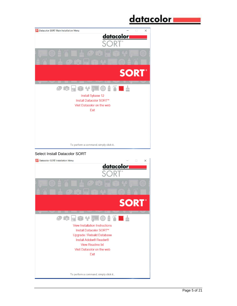#### <u>datacolor i</u> SA Datacolor SORT Main Installation Menu  $\times$ datacolor<sub>a</sub> **SORT®**  $\boldsymbol{\theta}$  is  $\boldsymbol{\theta}$  in  $\boldsymbol{\psi}$  we set ∎ Install Sybase 12 Install Datacolor SORT™ Visit Datacolor on the web Exit To perform a command, simply click it... Select Install Datacolor SORT**SA** Datacolor SORT Installation Menu  $\times$

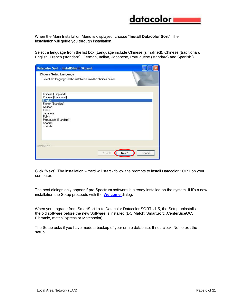

When the Main Installation Menu is displayed, choose "**Install Datacolor Sort**" The installation will guide you through installation.

Select a language from the list box.(Language include Chinese (simplified), Chinese (traditional), English, French (standard), German, Italian, Japanese, Portuguese (standard) and Spanish.)

| Datacolor Sort - InstallShield Wizard                                                                                                                                   |        |
|-------------------------------------------------------------------------------------------------------------------------------------------------------------------------|--------|
| <b>Choose Setup Language</b><br>Select the language for the installation from the choices below.                                                                        |        |
| Chinese (Simplified)<br>Chinese (Traditional)<br>English<br>French (Standard)<br>German<br>Italian<br>Japanese<br>Polish<br>Portuguese (Standard)<br>Spanish<br>Turkish |        |
| InstallShield<br>Next ><br>< Back                                                                                                                                       | Cancel |

Click "**Next**". The installation wizard will start - follow the prompts to install Datacolor SORT on your computer.

The next dialogs only appear if pre Spectrum software is already installed on the system. If it's a new installation the Setup proceeds with the **Welcome** dialog.

When you upgrade from SmartSort1.x to Datacolor Datacolor SORT v1.5, the Setup uninstalls the old software before the new Software is installed (DCIMatch; SmartSort; .CenterSiceQC, Fibramix, matchExpress or Matchpoint)

The Setup asks if you have made a backup of your entire database. If not, clock 'No' to exit the setup.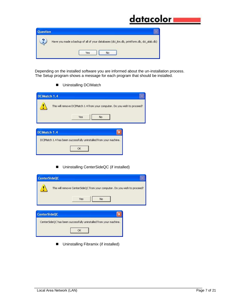### <u>datacolor</u>

| uestion |                                                                                         |
|---------|-----------------------------------------------------------------------------------------|
| G       | Have you made a backup of all of your databases (dci_itm.db, printform.db, dci_alab.db) |
|         | No<br>Yes                                                                               |

Depending on the installed software you are informed about the un-installation process. The Setup program shows a message for each program that should be installed.

■ Uninstalling DCIMatch

| <b>DCIMatch 1.4</b> |                                                                           |  |
|---------------------|---------------------------------------------------------------------------|--|
|                     | This will remove DCIMatch 1.4 from your computer. Do you wish to proceed? |  |
|                     | Yes<br>No                                                                 |  |
|                     |                                                                           |  |
| DCIMatch 1.4        |                                                                           |  |
|                     | DCIMatch 1.4 has been successfully uninstalled from your machine.         |  |
|                     | OK                                                                        |  |
|                     |                                                                           |  |

■ Uninstalling CenterSideQC (if installed)

| This will remove CenterSideQC from your computer. Do you wish to proceed? |
|---------------------------------------------------------------------------|
|                                                                           |
|                                                                           |
| CenterSideQC has been successfully uninstalled from your machine.         |
|                                                                           |
|                                                                           |

■ Uninstalling Fibramix (if installed)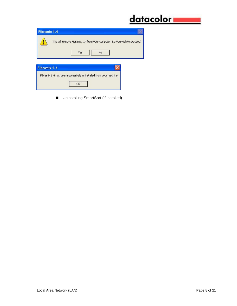|                                                                                         | datacolor |
|-----------------------------------------------------------------------------------------|-----------|
| Fibramix 1.4                                                                            |           |
| This will remove Fibramix 1.4 from your computer. Do you wish to proceed?<br>Yes:<br>No |           |
| Fibramix 1.4                                                                            |           |
| Fibramix 1.4 has been successfully uninstalled from your machine.<br>OK.                |           |

■ Uninstalling SmartSort (if installed)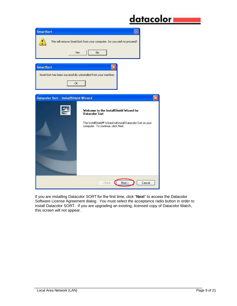# <u>datacolor -</u>

| <b>SmartSort</b>                                               |                                                                                                     |  |  |  |  |  |
|----------------------------------------------------------------|-----------------------------------------------------------------------------------------------------|--|--|--|--|--|
|                                                                | This will remove SmartSort from your computer. Do you wish to proceed?                              |  |  |  |  |  |
| Yes<br>No.                                                     |                                                                                                     |  |  |  |  |  |
| <b>SmartSort</b>                                               |                                                                                                     |  |  |  |  |  |
| SmartSort has been successfully uninstalled from your machine. |                                                                                                     |  |  |  |  |  |
| OK.                                                            |                                                                                                     |  |  |  |  |  |
|                                                                |                                                                                                     |  |  |  |  |  |
| Datacolor Sort - InstallShield Wizard                          |                                                                                                     |  |  |  |  |  |
|                                                                | Welcome to the InstallShield Wizard for<br><b>Datacolor Sort</b>                                    |  |  |  |  |  |
|                                                                | The InstallShield® Wizard will install Datacolor Sort on your<br>computer. To continue, click Next. |  |  |  |  |  |
|                                                                | Next<br>Cancel<br><back< td=""></back<>                                                             |  |  |  |  |  |

If you are installing Datacolor SORT for the first time, click "**Next**" to access the Datacolor Software License Agreement dialog. You must select the acceptance radio button in order to install Datacolor SORT. If you are upgrading an existing, licensed copy of Datacolor Match, this screen will not appear.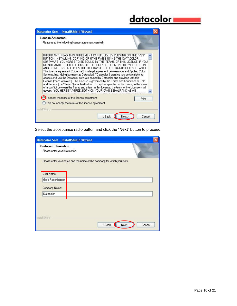## <u>datacolor \_\_\_\_</u>

| License Agreement                                                 |                                                                                                                                                                                                                                                                                                                                                                                                                                                                                                                                                                                                                           |       |
|-------------------------------------------------------------------|---------------------------------------------------------------------------------------------------------------------------------------------------------------------------------------------------------------------------------------------------------------------------------------------------------------------------------------------------------------------------------------------------------------------------------------------------------------------------------------------------------------------------------------------------------------------------------------------------------------------------|-------|
| Please read the following license agreement carefully.            |                                                                                                                                                                                                                                                                                                                                                                                                                                                                                                                                                                                                                           |       |
| AND DO NOT INSTALL. COPY OR OTHERWISE USE THE DATACOLOR SOFTWARE. | IMPORTANT: READ THIS AGREEMENT CAREFULLY, BY CLICKING ON THE "YES"<br>BUTTON, INSTALLING, COPYING OR OTHERWISE USING THE DATACOLOR<br>SOFTWARE, YOU AGREE TO BE BOUND BY THE TERMS OF THIS LICENSE. IF YOU<br>DO NOT AGREE TO THE TERMS OF THIS LICENSE, CLICK ON THE "NO" BUTTON                                                                                                                                                                                                                                                                                                                                         |       |
|                                                                   | This license agreement ("License") is a legal agreement between you and Applied Color<br>Systems, Inc. (doing business as Datacolor) ("Datacolor") granting you certain rights to<br>access and use the Datacolor software owned by Datacolor and provided with this<br>License (the ''Software''). This License is governed by the Terms and Conditions of Sale<br>and Service (the "Terms") attached below. Except as specified in the Terms, in the event<br>of a conflict between the Terms and a term in this License, the terms of the License shall<br>govern. YOU HEREBY AGREE, BOTH ON YOUR OWN BEHALF AND AS AN |       |
| I accept the terms of the license agreement                       |                                                                                                                                                                                                                                                                                                                                                                                                                                                                                                                                                                                                                           | Print |
| I do not accept the terms of the license agreement                |                                                                                                                                                                                                                                                                                                                                                                                                                                                                                                                                                                                                                           |       |

Select the acceptance radio button and click the "**Next**" button to proceed.

| Please enter your information. |  |                                                                        |
|--------------------------------|--|------------------------------------------------------------------------|
|                                |  |                                                                        |
|                                |  |                                                                        |
| User Name:                     |  |                                                                        |
| Gerd Rosenberger               |  |                                                                        |
| Company Name:                  |  |                                                                        |
| Datacolor                      |  |                                                                        |
|                                |  | Please enter your name and the name of the company for which you work. |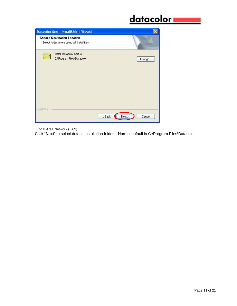# <u>datacolor www.</u>

|               | Datacolor Sort - InstallShield Wizard                                               |                          |  |
|---------------|-------------------------------------------------------------------------------------|--------------------------|--|
|               | <b>Choose Destination Location</b><br>Select folder where setup will install files. |                          |  |
|               | Install Datacolor Sort to:<br>C:\Program Files\Datacolor                            | Change                   |  |
| InstallShield |                                                                                     | Cancel<br>< Back<br>Next |  |

Local Area Network (LAN)

Click "**Next**" to select default installation folder. Normal default is C:\Program Files\Datacolor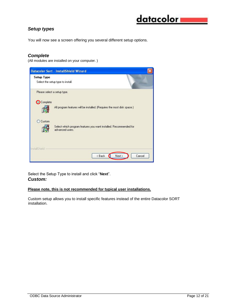# datacolor i

#### *Setup types*

You will now see a screen offering you several different setup options.

#### *Complete*

(All modules are installed on your computer. )



Select the Setup Type to install and click "**Next**". *Custom:* 

#### **Please note, this is not recommended for typical user installations.**

Custom setup allows you to install specific features instead of the entire Datacolor SORT installation.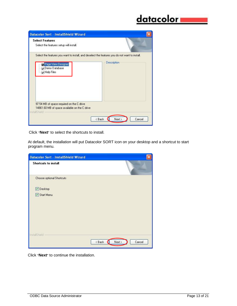# <u>datacolor \_\_\_\_</u>

| Datacolor Sort - InstallShield Wizard                                                                                                               |                              |
|-----------------------------------------------------------------------------------------------------------------------------------------------------|------------------------------|
| <b>Select Features</b><br>Select the features setup will install.                                                                                   |                              |
| Select the features you want to install, and deselect the features you do not want to install.<br>Page View Designer<br>Demo Database<br>Help Files | Description                  |
| 97.54 MB of space required on the C drive<br>14861.60 MB of space available on the C drive<br>InstallShield                                         | $8$ Back<br>Cancel<br>Next > |

Click "**Next**" to select the shortcuts to install.

At default, the installation will put Datacolor SORT icon on your desktop and a shortcut to start program menu.

| Datacolor Sort - InstallShield Wizard |                            |
|---------------------------------------|----------------------------|
| <b>Shortcuts to install</b>           |                            |
| Choose optional Shortcuts             |                            |
| Desktop                               |                            |
| Start Menu                            |                            |
|                                       |                            |
|                                       |                            |
|                                       |                            |
|                                       |                            |
|                                       |                            |
| InstallShield                         | $8$ Back<br>Cancel<br>Next |
|                                       | a                          |

Click "**Next**" to continue the installation.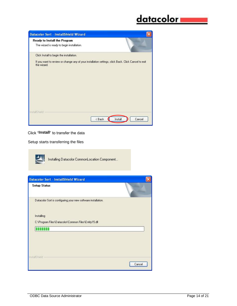# <u>datacolor www.</u>



Click "**Install**" to transfer the data

Setup starts transferring the files



Installing Datacolor CommonLocation Component...

| Datacolor Sort - InstallShield Wizard                         |        |
|---------------------------------------------------------------|--------|
| <b>Setup Status</b>                                           |        |
| Datacolor Sort is configuring your new software installation. |        |
| Installing                                                    |        |
| C:\Program Files\Datacolor\Common Files\Entity15.dll          |        |
|                                                               |        |
|                                                               |        |
|                                                               |        |
|                                                               |        |
| InstallShield                                                 |        |
|                                                               | Cancel |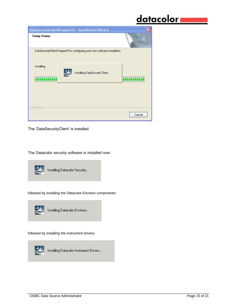# <u>datacolor i</u>

| DataSecurityClientWrapper10 - InstallShield Wizard                         |        |
|----------------------------------------------------------------------------|--------|
| <b>Setup Status</b>                                                        |        |
| DataSecurityClientWrapper10 is configuring your new software installation. |        |
| Installing<br>Installing DataSecurity Client                               |        |
|                                                                            |        |
| InstallShield                                                              |        |
|                                                                            | Cancel |

The 'DataSecurityClient' is installed

The Datacolor security software is installed now:



followed by installing the Datacolor Envision components:



followed by installing the instrument drivers:



Installing Datacolor Instrument Drivers...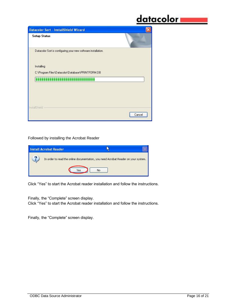### <u>datacolor =</u>

| Datacolor Sort - InstallShield Wizard                         |        |
|---------------------------------------------------------------|--------|
| <b>Setup Status</b>                                           |        |
| Datacolor Sort is configuring your new software installation. |        |
| Installing                                                    |        |
| C:\Program Files\Datacolor\Database\PRINTFORM.DB              |        |
|                                                               |        |
|                                                               |        |
|                                                               |        |
|                                                               |        |
|                                                               |        |
| InstallShield                                                 | Cancel |

#### Followed by installing the Acrobat Reader

| <b>Install Acrobat Reader</b>                                                      |    |  |
|------------------------------------------------------------------------------------|----|--|
| In order to read the online documentation, you need Acrobat Reader on your system. | No |  |

Click "Yes" to start the Acrobat reader installation and follow the instructions.

Finally, the "Complete" screen display. Click "Yes" to start the Acrobat reader installation and follow the instructions.

Finally, the "Complete" screen display.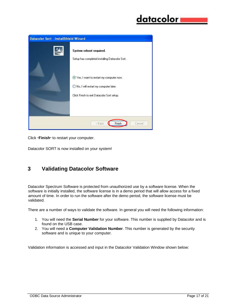| Datacolor Sort - InstallShield Wizard |                                                                                                                                |  |
|---------------------------------------|--------------------------------------------------------------------------------------------------------------------------------|--|
|                                       | System reboot required.<br>Setup has completed installing Datacolor Sort.                                                      |  |
|                                       | Yes, I want to restart my computer now.<br>No, I will restart my computer later.<br>Click Finish to exit Datacolor Sort setup. |  |
|                                       |                                                                                                                                |  |
| Cancel<br><back<br>Finish</back<br>   |                                                                                                                                |  |

Click "**Finish**" to restart your computer.

Datacolor SORT is now installed on your system!

#### <span id="page-16-0"></span>**3 Validating Datacolor Software**

Datacolor Spectrum Software is protected from unauthorized use by a software license. When the software is initially installed, the software license is in a demo period that will allow access for a fixed amount of time. In order to run the software after the demo period, the software license must be validated.

There are a number of ways to validate the software. In general you will need the following information:

- 1. You will need the **Serial Number** for your software. This number is supplied by Datacolor and is found on the USB case.
- 2. You will need a **Computer Validation Number**. This number is generated by the security software and is unique to your computer.

Validation information is accessed and input in the Datacolor Validation Window shown below: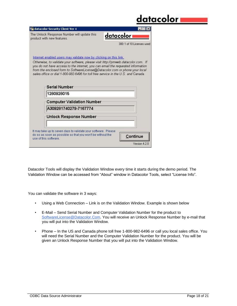|                                                                                                                                                                                                                                                                                                                                                                                                               | datacolorı                 |
|---------------------------------------------------------------------------------------------------------------------------------------------------------------------------------------------------------------------------------------------------------------------------------------------------------------------------------------------------------------------------------------------------------------|----------------------------|
| datacolor Security Client Ver 4                                                                                                                                                                                                                                                                                                                                                                               |                            |
| The Unlock Response Number will update this<br>product with new features.                                                                                                                                                                                                                                                                                                                                     | datacolor i                |
|                                                                                                                                                                                                                                                                                                                                                                                                               | 300: 1 of 10 Licenses used |
| Internet enabled users may validate now by clicking on this link.<br>Otherwise, to validate your software, please visit http://pmweb.datacolor.com. If<br>you do not have access to the internet, you can email the requested information<br>from the enclosed form to SoftwareLicense@Datacolor.com or phone your local<br>sales office or dial 1-800-982-6496 for toll free service in the U.S. and Canada. |                            |
| <b>Serial Number</b><br>1280928015                                                                                                                                                                                                                                                                                                                                                                            |                            |
| <b>Computer Validation Number</b>                                                                                                                                                                                                                                                                                                                                                                             |                            |
| A309281740279-7167774                                                                                                                                                                                                                                                                                                                                                                                         |                            |
| Unlock Response Number                                                                                                                                                                                                                                                                                                                                                                                        |                            |

Datacolor Tools will display the Validation Window every time it starts during the demo period. The Validation Window can be accessed from "About" window in Datacolor Tools, select "License Info".

You can validate the software in 3 ways:

- Using a Web Connection Link is on the Validation Window. Example is shown below
- E-Mail Send Serial Number and Computer Validation Number for the product to SoftwareLicense@Datacolor.Com. You will receive an Unlock Response Number by e-mail that you will put into the Validation Window.
- Phone In the US and Canada phone toll free 1-800-982-6496 or call you local sales office. You will need the Serial Number and the Computer Validation Number for the product. You will be given an Unlock Response Number that you will put into the Validation Window.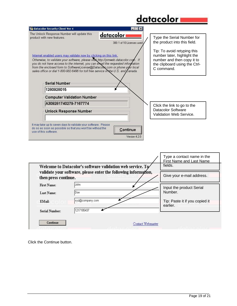## <u>datacolor</u>

 $\Gamma$ 

| datacolor Security Client Ver 4                                                                                                                                                                                                                                                                                                                                                                                                                                                                                                         |                                           |                                                                                                                                                                                                       |
|-----------------------------------------------------------------------------------------------------------------------------------------------------------------------------------------------------------------------------------------------------------------------------------------------------------------------------------------------------------------------------------------------------------------------------------------------------------------------------------------------------------------------------------------|-------------------------------------------|-------------------------------------------------------------------------------------------------------------------------------------------------------------------------------------------------------|
| The Unlock Response Number will update this<br>product with new features.<br>Internet enabled users may validate now by clicking on this link.<br>Otherwise, to validate your software, please visit http://pmweb.datacolor.com. If<br>you do not have access to the internet, you can electil the requested information<br>from the enclosed form to SoftwareLicense@Datacolox com or phone your local<br>sales office or dial 1-800-982-6496 for toll free service in the U.S. and $\mathcal L$ anada.<br>Serial Number<br>1280928015 | datacolor i<br>300: 1 of 10 Licenses used | Type the Serial Number for<br>the product into this field.<br>Tip: To avoid retyping this<br>number later, highlight the<br>number and then copy it to<br>the clipboard using the Ctrl-<br>C command. |
| <b>Computer Validation Number</b>                                                                                                                                                                                                                                                                                                                                                                                                                                                                                                       |                                           |                                                                                                                                                                                                       |
| A309281740279-7167774<br><b>Unlock Response Number</b>                                                                                                                                                                                                                                                                                                                                                                                                                                                                                  |                                           | Click the link to go to the<br>Datacolor Software<br>Validation Web Service.                                                                                                                          |
| It may take up to seven days to validate your software. Please<br>do so as soon as possible so that you won't be without the<br>use of this software.                                                                                                                                                                                                                                                                                                                                                                                   | Continue<br>Version 4.2.0                 |                                                                                                                                                                                                       |

|                       |                                                                                                                               | Type a contact name in the<br><b>First Name and Last Name</b> |
|-----------------------|-------------------------------------------------------------------------------------------------------------------------------|---------------------------------------------------------------|
|                       | Welcome to Datacolor's software validation web service. To<br>validate your software, please enter the following information, | fields.                                                       |
| then press continue.  |                                                                                                                               | Give your e-mail address.                                     |
| First Name:           | John                                                                                                                          | Input the product Serial                                      |
| Last Name:            | Doe                                                                                                                           | Number.                                                       |
| EMail:                | xyz@company.com                                                                                                               | Tip: Paste it if you copied it<br>earlier.                    |
| <b>Serial Number:</b> | 1217185437                                                                                                                    |                                                               |

Click the Continue button.

 $\overline{\phantom{a}}$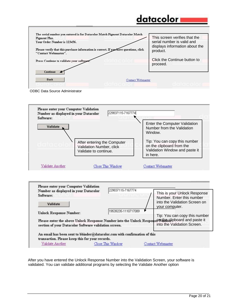### datacolor

| <b>Pigment Plus.</b>                                                                  |                   | This screen verifies that the                                |
|---------------------------------------------------------------------------------------|-------------------|--------------------------------------------------------------|
| Your Order Number is 123456.                                                          |                   | serial number is valid and<br>displays information about the |
| Please verify that this purchase information is correct. If you have questions, click |                   | product.                                                     |
| "Contact Webmaster".                                                                  |                   |                                                              |
| Press Continue to validate your software.                                             |                   | Click the Continue button to                                 |
|                                                                                       |                   | proceed.                                                     |
| Continue                                                                              |                   |                                                              |
|                                                                                       |                   |                                                              |
| <b>Back</b>                                                                           | Contact Webmaster |                                                              |

ODBC Data Source Administrator





After you have entered the Unlock Response Number into the Validation Screen, your software is validated. You can validate additional programs by selecting the Validate Another option